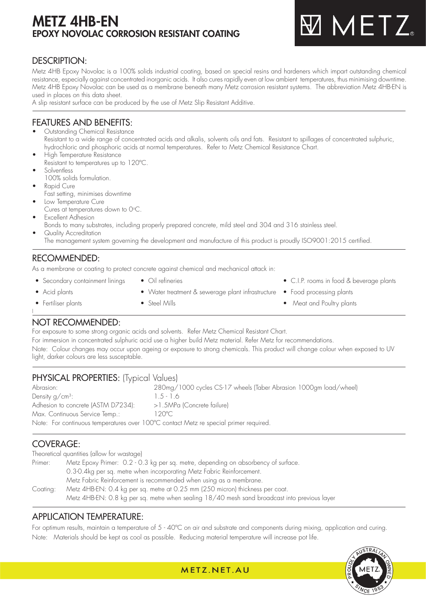# METZ 4HB-EN EPOXY NOVOLAC CORROSION RESISTANT COATING

# **MMETZ**

## DESCRIPTION:

Metz 4HB Epoxy Novolac is a 100% solids industrial coating, based on special resins and hardeners which impart outstanding chemical resistance, especially against concentrated inorganic acids. It also cures rapidly even at low ambient temperatures, thus minimising downtime. Metz 4HB Epoxy Novolac can be used as a membrane beneath many Metz corrosion resistant systems. The abbreviation Metz 4HB-EN is used in places on this data sheet.

A slip resistant surface can be produced by the use of Metz Slip Resistant Additive.

## FEATURES AND BENEFITS:

- Outstanding Chemical Resistance Resistant to a wide range of concentrated acids and alkalis, solvents oils and fats. Resistant to spillages of concentrated sulphuric, hydrochloric and phosphoric acids at normal temperatures. Refer to Metz Chemical Resistance Chart.
- High Temperature Resistance Resistant to temperatures up to 120ºC.
- Solventless
- 100% solids formulation.
- Rapid Cure
- Fast setting, minimises downtime
- Low Temperature Cure
- Cures at temperatures down to 0 $\rm ^{\circ}C$ . **Excellent Adhesion**
- - Bonds to many substrates, including properly prepared concrete, mild steel and 304 and 316 stainless steel. Quality Accreditation
	- The management system governing the development and manufacture of this product is proudly ISO9001:2015 certified.

## RECOMMENDED:

As a membrane or coating to protect concrete against chemical and mechanical attack in:

- Secondary containment linings Oil refineries • Collection • C.I.P. rooms in food & beverage plants
- 

l

- Acid plants Water treatment & sewerage plant infrastructure Food processing plants
	-
	-
- Fertiliser plants Steel Mills Steel Mills Meat and Poultry plants
- 

## NOT RECOMMENDED:

For exposure to some strong organic acids and solvents. Refer Metz Chemical Resistant Chart.

For immersion in concentrated sulphuric acid use a higher build Metz material. Refer Metz for recommendations. Note: Colour changes may occur upon ageing or exposure to strong chemicals. This product will change colour when exposed to UV

light, darker colours are less susceptable.

## PHYSICAL PROPERTIES: (Typical Values)

Abrasion: 280mg/1000 cycles CS-17 wheels (Taber Abrasion 1000gm load/wheel) Density  $q/cm^3$ :  $1.5 - 1.6$ Adhesion to concrete (ASTM D7234): >1.5MPa (Concrete failure) Max. Continuous Service Temp.: 120°C Note: For continuous temperatures over 100ºC contact Metz re special primer required.

## COVERAGE:

Theoretical quantities (allow for wastage)

Primer: Metz Epoxy Primer: 0.2 - 0.3 kg per sq. metre, depending on absorbency of surface. 0.3-0.4kg per sq. metre when incorporating Metz Fabric Reinforcement. Metz Fabric Reinforcement is recommended when using as a membrane. Coating: Metz 4HB-EN: 0.4 kg per sq. metre at 0.25 mm (250 micron) thickness per coat. Metz 4HB-EN: 0.8 kg per sq. metre when sealing 18/40 mesh sand broadcast into previous layer

## APPLICATION TEMPERATURE:

For optimum results, maintain a temperature of 5 - 40ºC on air and substrate and components during mixing, application and curing. Note: Materials should be kept as cool as possible. Reducing material temperature will increase pot life.



METZ, NET, AU